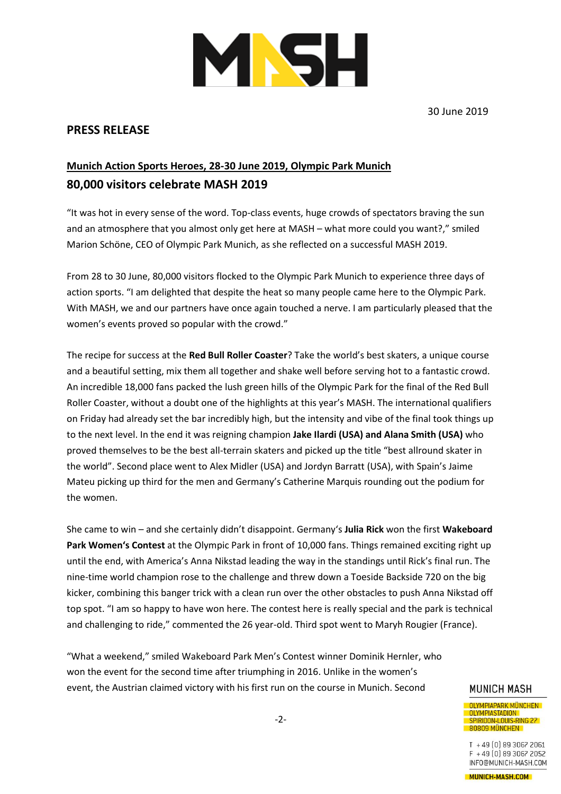

30 June 2019

## **PRESS RELEASE**

## **Munich Action Sports Heroes, 28-30 June 2019, Olympic Park Munich 80,000 visitors celebrate MASH 2019**

"It was hot in every sense of the word. Top-class events, huge crowds of spectators braving the sun and an atmosphere that you almost only get here at MASH – what more could you want?," smiled Marion Schöne, CEO of Olympic Park Munich, as she reflected on a successful MASH 2019.

From 28 to 30 June, 80,000 visitors flocked to the Olympic Park Munich to experience three days of action sports. "I am delighted that despite the heat so many people came here to the Olympic Park. With MASH, we and our partners have once again touched a nerve. I am particularly pleased that the women's events proved so popular with the crowd."

The recipe for success at the **Red Bull Roller Coaster**? Take the world's best skaters, a unique course and a beautiful setting, mix them all together and shake well before serving hot to a fantastic crowd. An incredible 18,000 fans packed the lush green hills of the Olympic Park for the final of the Red Bull Roller Coaster, without a doubt one of the highlights at this year's MASH. The international qualifiers on Friday had already set the bar incredibly high, but the intensity and vibe of the final took things up to the next level. In the end it was reigning champion **Jake Ilardi (USA) and Alana Smith (USA)** who proved themselves to be the best all-terrain skaters and picked up the title "best allround skater in the world". Second place went to Alex Midler (USA) and Jordyn Barratt (USA), with Spain's Jaime Mateu picking up third for the men and Germany's Catherine Marquis rounding out the podium for the women.

She came to win – and she certainly didn't disappoint. Germany's **Julia Rick** won the first **Wakeboard Park Women's Contest** at the Olympic Park in front of 10,000 fans. Things remained exciting right up until the end, with America's Anna Nikstad leading the way in the standings until Rick's final run. The nine-time world champion rose to the challenge and threw down a Toeside Backside 720 on the big kicker, combining this banger trick with a clean run over the other obstacles to push Anna Nikstad off top spot. "I am so happy to have won here. The contest here is really special and the park is technical and challenging to ride," commented the 26 year-old. Third spot went to Maryh Rougier (France).

"What a weekend," smiled Wakeboard Park Men's Contest winner Dominik Hernler, who won the event for the second time after triumphing in 2016. Unlike in the women's event, the Austrian claimed victory with his first run on the course in Munich. Second

## **MUNICH MASH**

**OLYMPIAPARK MÜNCHEN** OLYMPIASTADION SPIRIDON-LOUIS-RING 27 80809 MÜNCHEN

 $T + 49[0]8930672061$  $F + 49(0)8930672052$ INFO@MUNICH-MASH.COM